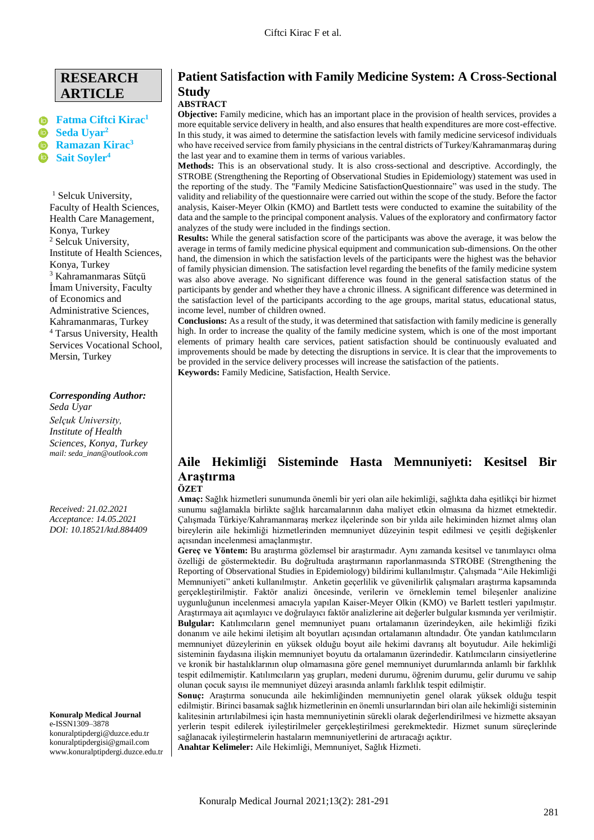# **RESEARCH ARTICLE**

# **[Fatma Ciftci Kirac](mailto:fatma_ciftci@hotmail.com.tr)<sup>1</sup> [Seda Uyar](mailto:seda_inan@outlook.com)<sup>2</sup> [Ramazan Kirac](mailto:ramazan46k@gmail.com) 3 [Sait Soyler](mailto:saitsoyler@tarsus.edu.tr)[4](mailto:saitsoyler@tarsus.edu.tr)**

<sup>1</sup> Selcuk University, Faculty of Health Sciences, Health Care Management, Konya, Turkey <sup>2</sup> Selcuk University, Institute of Health Sciences, Konya, Turkey <sup>3</sup> Kahramanmaras Sütçü İmam University, Faculty of Economics and Administrative Sciences, Kahramanmaras, Turkey <sup>4</sup> Tarsus University, Health Services Vocational School, Mersin, Turkey

### *Corresponding Author:*

*Seda Uyar Selçuk University, Institute of Health Sciences, Konya, Turkey mail: seda\_inan@outlook.com*

*Received: 21.02.2021 Acceptance: 14.05.2021 DOI: 10.18521/ktd.884409*

**Konuralp Medical Journal** e-ISSN1309–3878 konuralptipdergi@duzce.edu.tr konuralptipdergisi@gmail.com [www.konuralptipdergi.duzce.edu.tr](http://www.konuralptipdergi.duzce.edu.tr/)

# **Patient Satisfaction with Family Medicine System: A Cross-Sectional Study**

# **ABSTRACT**

**Objective:** Family medicine, which has an important place in the provision of health services, provides a more equitable service delivery in health, and also ensures that health expenditures are more cost-effective. In this study, it was aimed to determine the satisfaction levels with family medicine servicesof individuals who have received service from family physicians in the central districts of Turkey/Kahramanmaraş during the last year and to examine them in terms of various variables.

**Methods:** This is an observational study. It is also cross-sectional and descriptive. Accordingly, the STROBE (Strengthening the Reporting of Observational Studies in Epidemiology) statement was used in the reporting of the study. The "Family Medicine SatisfactionQuestionnaire" was used in the study. The validity and reliability of the questionnaire were carried out within the scope of the study. Before the factor analysis, Kaiser-Meyer Olkin (KMO) and Bartlett tests were conducted to examine the suitability of the data and the sample to the principal component analysis. Values of the exploratory and confirmatory factor analyzes of the study were included in the findings section.

**Results:** While the general satisfaction score of the participants was above the average, it was below the average in terms of family medicine physical equipment and communication sub-dimensions. On the other hand, the dimension in which the satisfaction levels of the participants were the highest was the behavior of family physician dimension. The satisfaction level regarding the benefits of the family medicine system was also above average. No significant difference was found in the general satisfaction status of the participants by gender and whether they have a chronic illness. A significant difference was determined in the satisfaction level of the participants according to the age groups, marital status, educational status, income level, number of children owned.

**Conclusions:** As a result of the study, it was determined that satisfaction with family medicine is generally high. In order to increase the quality of the family medicine system, which is one of the most important elements of primary health care services, patient satisfaction should be continuously evaluated and improvements should be made by detecting the disruptions in service. It is clear that the improvements to be provided in the service delivery processes will increase the satisfaction of the patients.

**Keywords:** Family Medicine, Satisfaction, Health Service.

# **Aile Hekimliği Sisteminde Hasta Memnuniyeti: Kesitsel Bir Araştırma**

### **ÖZET**

**Amaç:** Sağlık hizmetleri sunumunda önemli bir yeri olan aile hekimliği, sağlıkta daha eşitlikçi bir hizmet sunumu sağlamakla birlikte sağlık harcamalarının daha maliyet etkin olmasına da hizmet etmektedir. Çalışmada Türkiye/Kahramanmaraş merkez ilçelerinde son bir yılda aile hekiminden hizmet almış olan bireylerin aile hekimliği hizmetlerinden memnuniyet düzeyinin tespit edilmesi ve çeşitli değişkenler açısından incelenmesi amaçlanmıştır.

**Gereç ve Yöntem:** Bu araştırma gözlemsel bir araştırmadır. Aynı zamanda kesitsel ve tanımlayıcı olma özelliği de göstermektedir. Bu doğrultuda araştırmanın raporlanmasında STROBE (Strengthening the Reporting of Observational Studies in Epidemiology) bildirimi kullanılmıştır. Çalışmada "Aile Hekimliği Memnuniyeti" anketi kullanılmıştır. Anketin geçerlilik ve güvenilirlik çalışmaları araştırma kapsamında gerçekleştirilmiştir. Faktör analizi öncesinde, verilerin ve örneklemin temel bileşenler analizine uygunluğunun incelenmesi amacıyla yapılan Kaiser-Meyer Olkin (KMO) ve Barlett testleri yapılmıştır. Araştırmaya ait açımlayıcı ve doğrulayıcı faktör analizlerine ait değerler bulgular kısmında yer verilmiştir. **Bulgular:** Katılımcıların genel memnuniyet puanı ortalamanın üzerindeyken, aile hekimliği fiziki donanım ve aile hekimi iletişim alt boyutları açısından ortalamanın altındadır. Öte yandan katılımcıların memnuniyet düzeylerinin en yüksek olduğu boyut aile hekimi davranış alt boyutudur. Aile hekimliği sisteminin faydasına ilişkin memnuniyet boyutu da ortalamanın üzerindedir. Katılımcıların cinsiyetlerine ve kronik bir hastalıklarının olup olmamasına göre genel memnuniyet durumlarında anlamlı bir farklılık tespit edilmemiştir. Katılımcıların yaş grupları, medeni durumu, öğrenim durumu, gelir durumu ve sahip olunan çocuk sayısı ile memnuniyet düzeyi arasında anlamlı farklılık tespit edilmiştir.

**Sonuç:** Araştırma sonucunda aile hekimliğinden memnuniyetin genel olarak yüksek olduğu tespit edilmiştir. Birinci basamak sağlık hizmetlerinin en önemli unsurlarından biri olan aile hekimliği sisteminin kalitesinin artırılabilmesi için hasta memnuniyetinin sürekli olarak değerlendirilmesi ve hizmette aksayan yerlerin tespit edilerek iyileştirilmeler gerçekleştirilmesi gerekmektedir. Hizmet sunum süreçlerinde sağlanacak iyileştirmelerin hastaların memnuniyetlerini de artıracağı açıktır. **Anahtar Kelimeler:** Aile Hekimliği, Memnuniyet, Sağlık Hizmeti.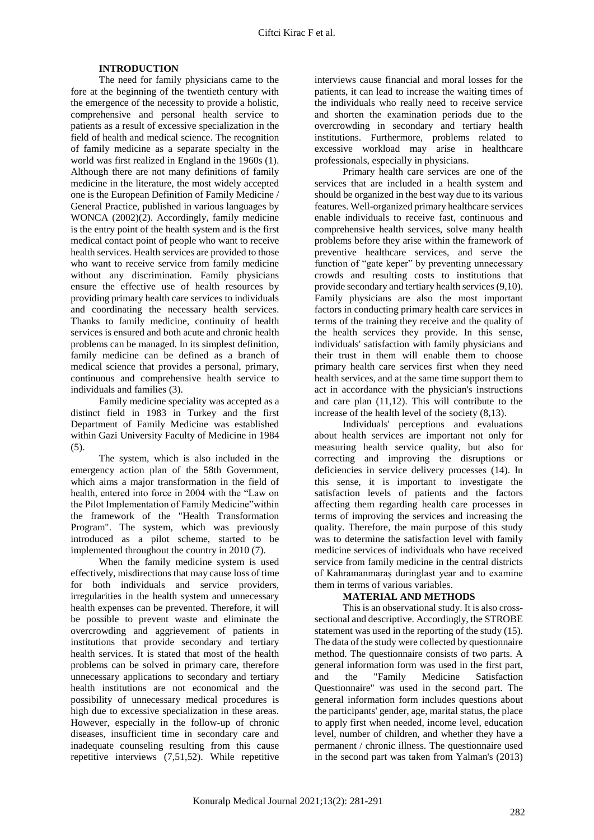## **INTRODUCTION**

The need for family physicians came to the fore at the beginning of the twentieth century with the emergence of the necessity to provide a holistic, comprehensive and personal health service to patients as a result of excessive specialization in the field of health and medical science. The recognition of family medicine as a separate specialty in the world was first realized in England in the 1960s (1). Although there are not many definitions of family medicine in the literature, the most widely accepted one is the European Definition of Family Medicine / General Practice, published in various languages by WONCA (2002)(2). Accordingly, family medicine is the entry point of the health system and is the first medical contact point of people who want to receive health services. Health services are provided to those who want to receive service from family medicine without any discrimination. Family physicians ensure the effective use of health resources by providing primary health care services to individuals and coordinating the necessary health services. Thanks to family medicine, continuity of health services is ensured and both acute and chronic health problems can be managed. In its simplest definition, family medicine can be defined as a branch of medical science that provides a personal, primary, continuous and comprehensive health service to individuals and families (3).

Family medicine speciality was accepted as a distinct field in 1983 in Turkey and the first Department of Family Medicine was established within Gazi University Faculty of Medicine in 1984 (5).

The system, which is also included in the emergency action plan of the 58th Government, which aims a major transformation in the field of health, entered into force in 2004 with the "Law on the Pilot Implementation of Family Medicine"within the framework of the "Health Transformation Program". The system, which was previously introduced as a pilot scheme, started to be implemented throughout the country in 2010 (7).

When the family medicine system is used effectively, misdirections that may cause loss of time for both individuals and service providers, irregularities in the health system and unnecessary health expenses can be prevented. Therefore, it will be possible to prevent waste and eliminate the overcrowding and aggrievement of patients in institutions that provide secondary and tertiary health services. It is stated that most of the health problems can be solved in primary care, therefore unnecessary applications to secondary and tertiary health institutions are not economical and the possibility of unnecessary medical procedures is high due to excessive specialization in these areas. However, especially in the follow-up of chronic diseases, insufficient time in secondary care and inadequate counseling resulting from this cause repetitive interviews (7,51,52). While repetitive

interviews cause financial and moral losses for the patients, it can lead to increase the waiting times of the individuals who really need to receive service and shorten the examination periods due to the overcrowding in secondary and tertiary health institutions. Furthermore, problems related to excessive workload may arise in healthcare professionals, especially in physicians.

Primary health care services are one of the services that are included in a health system and should be organized in the best way due to its various features. Well-organized primary healthcare services enable individuals to receive fast, continuous and comprehensive health services, solve many health problems before they arise within the framework of preventive healthcare services, and serve the function of "gate keper" by preventing unnecessary crowds and resulting costs to institutions that provide secondary and tertiary health services (9,10). Family physicians are also the most important factors in conducting primary health care services in terms of the training they receive and the quality of the health services they provide. In this sense, individuals' satisfaction with family physicians and their trust in them will enable them to choose primary health care services first when they need health services, and at the same time support them to act in accordance with the physician's instructions and care plan (11,12). This will contribute to the increase of the health level of the society (8,13).

Individuals' perceptions and evaluations about health services are important not only for measuring health service quality, but also for correcting and improving the disruptions or deficiencies in service delivery processes (14). In this sense, it is important to investigate the satisfaction levels of patients and the factors affecting them regarding health care processes in terms of improving the services and increasing the quality. Therefore, the main purpose of this study was to determine the satisfaction level with family medicine services of individuals who have received service from family medicine in the central districts of Kahramanmaraş duringlast year and to examine them in terms of various variables.

### **MATERIAL AND METHODS**

This is an observational study. It is also crosssectional and descriptive. Accordingly, the STROBE statement was used in the reporting of the study (15). The data of the study were collected by questionnaire method. The questionnaire consists of two parts. A general information form was used in the first part, and the "Family Medicine Satisfaction Questionnaire" was used in the second part. The general information form includes questions about the participants' gender, age, marital status, the place to apply first when needed, income level, education level, number of children, and whether they have a permanent / chronic illness. The questionnaire used in the second part was taken from Yalman's (2013)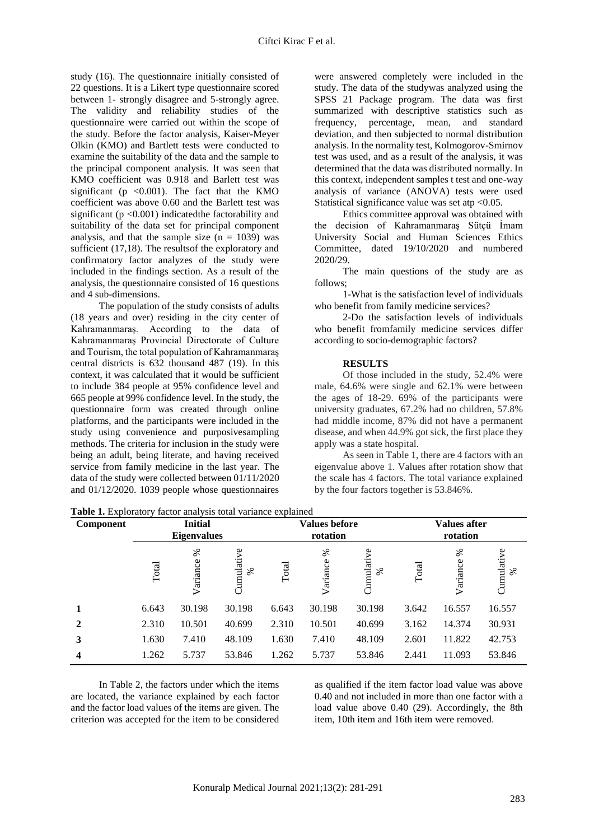study (16). The questionnaire initially consisted of 22 questions. It is a Likert type questionnaire scored between 1- strongly disagree and 5-strongly agree. The validity and reliability studies of the questionnaire were carried out within the scope of the study. Before the factor analysis, Kaiser-Meyer Olkin (KMO) and Bartlett tests were conducted to examine the suitability of the data and the sample to the principal component analysis. It was seen that KMO coefficient was 0.918 and Barlett test was significant ( $p \le 0.001$ ). The fact that the KMO coefficient was above 0.60 and the Barlett test was significant ( $p < 0.001$ ) indicated the factorability and suitability of the data set for principal component analysis, and that the sample size  $(n = 1039)$  was sufficient (17,18). The resultsof the exploratory and confirmatory factor analyzes of the study were included in the findings section. As a result of the analysis, the questionnaire consisted of 16 questions and 4 sub-dimensions.

The population of the study consists of adults (18 years and over) residing in the city center of Kahramanmaraş. According to the data of Kahramanmaraş Provincial Directorate of Culture and Tourism, the total population of Kahramanmaraş central districts is 632 thousand 487 (19). In this context, it was calculated that it would be sufficient to include 384 people at 95% confidence level and 665 people at 99% confidence level. In the study, the questionnaire form was created through online platforms, and the participants were included in the study using convenience and purposivesampling methods. The criteria for inclusion in the study were being an adult, being literate, and having received service from family medicine in the last year. The data of the study were collected between 01/11/2020 and 01/12/2020. 1039 people whose questionnaires

were answered completely were included in the study. The data of the studywas analyzed using the SPSS 21 Package program. The data was first summarized with descriptive statistics such as frequency, percentage, mean, and standard deviation, and then subjected to normal distribution analysis. In the normality test, Kolmogorov-Smirnov test was used, and as a result of the analysis, it was determined that the data was distributed normally. In this context, independent samples t test and one-way analysis of variance (ANOVA) tests were used Statistical significance value was set at  $0.05$ .

Ethics committee approval was obtained with the decision of Kahramanmaraş Sütçü İmam University Social and Human Sciences Ethics Committee, dated 19/10/2020 and numbered 2020/29.

The main questions of the study are as follows;

1-What is the satisfaction level of individuals who benefit from family medicine services?

2-Do the satisfaction levels of individuals who benefit fromfamily medicine services differ according to socio-demographic factors?

#### **RESULTS**

Of those included in the study, 52.4% were male, 64.6% were single and 62.1% were between the ages of 18-29. 69% of the participants were university graduates, 67.2% had no children, 57.8% had middle income, 87% did not have a permanent disease, and when 44.9% got sick, the first place they apply was a state hospital.

As seen in Table 1, there are 4 factors with an eigenvalue above 1. Values after rotation show that the scale has 4 factors. The total variance explained by the four factors together is 53.846%.

| Component    | <b>Initial</b><br><b>Eigenvalues</b> |               |                  |       | <b>Values before</b><br>rotation |                    |       | <b>Values after</b><br>rotation |                    |  |
|--------------|--------------------------------------|---------------|------------------|-------|----------------------------------|--------------------|-------|---------------------------------|--------------------|--|
|              | Total                                | ℅<br>Variance | Cumulative<br>వ్ | Total | ℅<br>Variance                    | Cumulative<br>$\%$ | Total | ℅<br>Variance                   | Cumulative<br>$\%$ |  |
|              | 6.643                                | 30.198        | 30.198           | 6.643 | 30.198                           | 30.198             | 3.642 | 16.557                          | 16.557             |  |
| $\mathbf{2}$ | 2.310                                | 10.501        | 40.699           | 2.310 | 10.501                           | 40.699             | 3.162 | 14.374                          | 30.931             |  |
| 3            | 1.630                                | 7.410         | 48.109           | 1.630 | 7.410                            | 48.109             | 2.601 | 11.822                          | 42.753             |  |
| 4            | 1.262                                | 5.737         | 53.846           | 1.262 | 5.737                            | 53.846             | 2.441 | 11.093                          | 53.846             |  |

**Table 1.** Exploratory factor analysis total variance explained

In Table 2, the factors under which the items are located, the variance explained by each factor and the factor load values of the items are given. The criterion was accepted for the item to be considered

as qualified if the item factor load value was above 0.40 and not included in more than one factor with a load value above 0.40 (29). Accordingly, the 8th item, 10th item and 16th item were removed.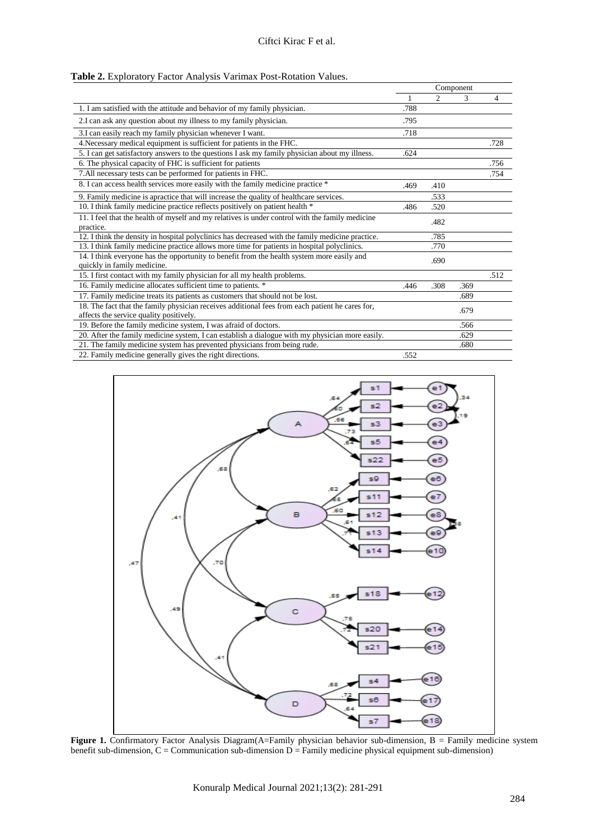| Table 2. Exploratory Factor Analysis Varimax Post-Rotation Values. |  |
|--------------------------------------------------------------------|--|
|--------------------------------------------------------------------|--|

|                                                                                                                                            |      |                | Component |      |
|--------------------------------------------------------------------------------------------------------------------------------------------|------|----------------|-----------|------|
|                                                                                                                                            |      | $\mathfrak{D}$ | 3         | 4    |
| 1. I am satisfied with the attitude and behavior of my family physician.                                                                   | .788 |                |           |      |
| 2. I can ask any question about my illness to my family physician.                                                                         | .795 |                |           |      |
| 3.I can easily reach my family physician whenever I want.                                                                                  | .718 |                |           |      |
| 4. Necessary medical equipment is sufficient for patients in the FHC.                                                                      |      |                |           | .728 |
| 5. I can get satisfactory answers to the questions I ask my family physician about my illness.                                             | .624 |                |           |      |
| 6. The physical capacity of FHC is sufficient for patients                                                                                 |      |                |           | .756 |
| 7. All necessary tests can be performed for patients in FHC.                                                                               |      |                |           | .754 |
| 8. I can access health services more easily with the family medicine practice *                                                            | .469 | .410           |           |      |
| 9. Family medicine is apractice that will increase the quality of healthcare services.                                                     |      | .533           |           |      |
| 10. I think family medicine practice reflects positively on patient health *                                                               | .486 | .520           |           |      |
| 11. I feel that the health of myself and my relatives is under control with the family medicine<br>practice.                               |      | .482           |           |      |
| 12. I think the density in hospital polyclinics has decreased with the family medicine practice.                                           |      | .785           |           |      |
| 13. I think family medicine practice allows more time for patients in hospital polyclinics.                                                |      | .770           |           |      |
| 14. I think everyone has the opportunity to benefit from the health system more easily and<br>quickly in family medicine.                  |      | .690           |           |      |
| 15. I first contact with my family physician for all my health problems.                                                                   |      |                |           | .512 |
| 16. Family medicine allocates sufficient time to patients. *                                                                               | .446 | .308           | .369      |      |
| 17. Family medicine treats its patients as customers that should not be lost.                                                              |      |                | .689      |      |
| 18. The fact that the family physician receives additional fees from each patient he cares for,<br>affects the service quality positively. |      |                | .679      |      |
| 19. Before the family medicine system, I was afraid of doctors.                                                                            |      |                | .566      |      |
| 20. After the family medicine system, I can establish a dialogue with my physician more easily.                                            |      |                | .629      |      |
| 21. The family medicine system has prevented physicians from being rude.                                                                   |      |                | .680      |      |
| 22. Family medicine generally gives the right directions.                                                                                  | .552 |                |           |      |



Figure 1. Confirmatory Factor Analysis Diagram(A=Family physician behavior sub-dimension, B = Family medicine system benefit sub-dimension, C = Communication sub-dimension D = Family medicine physical equipment sub-dimension)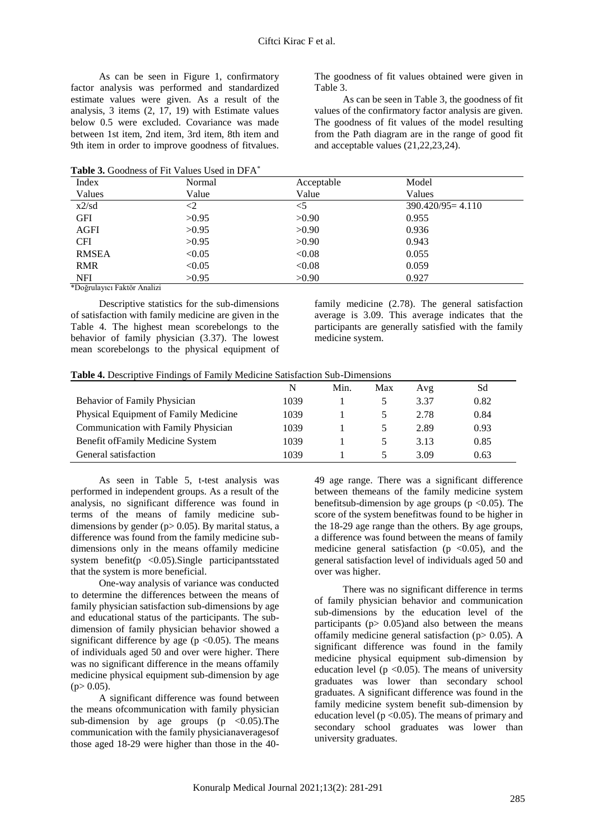As can be seen in Figure 1, confirmatory factor analysis was performed and standardized estimate values were given. As a result of the analysis, 3 items (2, 17, 19) with Estimate values below 0.5 were excluded. Covariance was made between 1st item, 2nd item, 3rd item, 8th item and 9th item in order to improve goodness of fitvalues.

**Table 3.** Goodness of Fit Values Used in DFA\*

The goodness of fit values obtained were given in Table 3.

As can be seen in Table 3, the goodness of fit values of the confirmatory factor analysis are given. The goodness of fit values of the model resulting from the Path diagram are in the range of good fit and acceptable values (21,22,23,24).

|              | <b>Table 5.</b> Cooditess of Fit Values Osed III DTA |            |                      |  |
|--------------|------------------------------------------------------|------------|----------------------|--|
| Index        | Normal                                               | Acceptable | Model                |  |
| Values       | Value                                                | Value      | Values               |  |
| x2/sd        | ${<}2$                                               | $<$ 5      | $390.420/95 = 4.110$ |  |
| <b>GFI</b>   | >0.95                                                | >0.90      | 0.955                |  |
| AGFI         | >0.95                                                | >0.90      | 0.936                |  |
| <b>CFI</b>   | >0.95                                                | >0.90      | 0.943                |  |
| <b>RMSEA</b> | < 0.05                                               | < 0.08     | 0.055                |  |
| <b>RMR</b>   | < 0.05                                               | < 0.08     | 0.059                |  |
| <b>NFI</b>   | >0.95                                                | >0.90      | 0.927                |  |

\*Doğrulayıcı Faktör Analizi

Descriptive statistics for the sub-dimensions of satisfaction with family medicine are given in the Table 4. The highest mean scorebelongs to the behavior of family physician (3.37). The lowest mean scorebelongs to the physical equipment of

family medicine (2.78). The general satisfaction average is 3.09. This average indicates that the participants are generally satisfied with the family medicine system.

|  |  |  |  | Table 4. Descriptive Findings of Family Medicine Satisfaction Sub-Dimensions |  |
|--|--|--|--|------------------------------------------------------------------------------|--|
|  |  |  |  |                                                                              |  |
|  |  |  |  |                                                                              |  |

|                                       | N    | Min. | Max | Avg  | Sd   |
|---------------------------------------|------|------|-----|------|------|
| <b>Behavior of Family Physician</b>   | 1039 |      |     | 3.37 | 0.82 |
| Physical Equipment of Family Medicine | 1039 |      |     | 2.78 | 0.84 |
| Communication with Family Physician   | 1039 |      |     | 2.89 | 0.93 |
| Benefit of Family Medicine System     | 1039 |      |     | 3.13 | 0.85 |
| General satisfaction                  | 1039 |      |     | 3.09 | 0.63 |

As seen in Table 5, t-test analysis was performed in independent groups. As a result of the analysis, no significant difference was found in terms of the means of family medicine subdimensions by gender ( $p > 0.05$ ). By marital status, a difference was found from the family medicine subdimensions only in the means offamily medicine system benefit(p <0.05).Single participantsstated that the system is more beneficial.

One-way analysis of variance was conducted to determine the differences between the means of family physician satisfaction sub-dimensions by age and educational status of the participants. The subdimension of family physician behavior showed a significant difference by age ( $p \le 0.05$ ). The means of individuals aged 50 and over were higher. There was no significant difference in the means offamily medicine physical equipment sub-dimension by age  $(p> 0.05)$ .

A significant difference was found between the means ofcommunication with family physician sub-dimension by age groups  $(p \lt 0.05)$ . The communication with the family physicianaveragesof those aged 18-29 were higher than those in the 40-

49 age range. There was a significant difference between themeans of the family medicine system benefitsub-dimension by age groups ( $p < 0.05$ ). The score of the system benefitwas found to be higher in the 18-29 age range than the others. By age groups, a difference was found between the means of family medicine general satisfaction ( $p \lt 0.05$ ), and the general satisfaction level of individuals aged 50 and over was higher.

There was no significant difference in terms of family physician behavior and communication sub-dimensions by the education level of the participants ( $p > 0.05$ ) and also between the means offamily medicine general satisfaction ( $p$  > 0.05). A significant difference was found in the family medicine physical equipment sub-dimension by education level ( $p < 0.05$ ). The means of university graduates was lower than secondary school graduates. A significant difference was found in the family medicine system benefit sub-dimension by education level ( $p < 0.05$ ). The means of primary and secondary school graduates was lower than university graduates.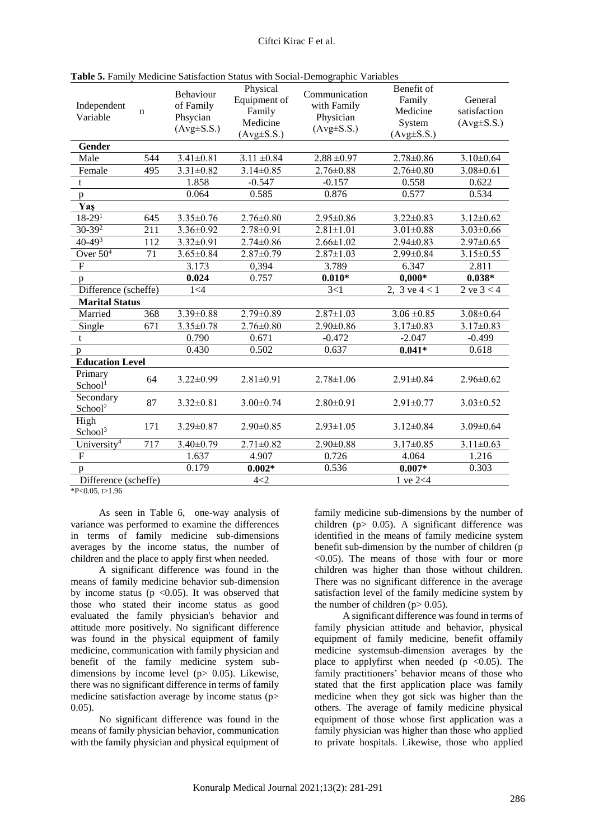| Independent<br>Variable          | n   | Behaviour<br>of Family<br>Phsycian<br>$(Avg \pm S.S.)$ | Physical<br>Equipment of<br>Family<br>Medicine<br>$(Avg \pm S.S.)$ | Communication<br>with Family<br>Physician<br>$(Avg \pm S.S.)$ | Benefit of<br>Family<br>Medicine<br>System<br>$(Avg\pm S.S.)$ | General<br>satisfaction<br>$(Avg \pm S.S.)$ |
|----------------------------------|-----|--------------------------------------------------------|--------------------------------------------------------------------|---------------------------------------------------------------|---------------------------------------------------------------|---------------------------------------------|
| Gender                           |     |                                                        |                                                                    |                                                               |                                                               |                                             |
| Male                             | 544 | $3.41 \pm 0.81$                                        | $3.11 \pm 0.84$                                                    | $2.88 \pm 0.97$                                               | $2.78 \pm 0.86$                                               | $3.10 \pm 0.64$                             |
| Female                           | 495 | $3.31 \pm 0.82$                                        | $3.14 \pm 0.85$                                                    | $2.76 \pm 0.88$                                               | $2.76 \pm 0.80$                                               | $3.08 \pm 0.61$                             |
| t                                |     | 1.858                                                  | $-0.547$                                                           | $-0.157$                                                      | 0.558                                                         | 0.622                                       |
| p                                |     | 0.064                                                  | 0.585                                                              | 0.876                                                         | 0.577                                                         | 0.534                                       |
| Yaş                              |     |                                                        |                                                                    |                                                               |                                                               |                                             |
| $18-291$                         | 645 | $3.35 \pm 0.76$                                        | $2.76 \pm 0.80$                                                    | $2.95 \pm 0.86$                                               | $3.22 \pm 0.83$                                               | $3.12 \pm 0.62$                             |
| $30-39^2$                        | 211 | 3.36±0.92                                              | $2.78 \pm 0.91$                                                    | $2.81 \pm 1.01$                                               | $3.01 \pm 0.88$                                               | $3.03 \pm 0.66$                             |
| $40 - 49^{3}$                    | 112 | $3.32 \pm 0.91$                                        | $2.74 \pm 0.86$                                                    | $2.66 \pm 1.02$                                               | $2.94 \pm 0.83$                                               | $2.97 \pm 0.65$                             |
| Over $504$                       | 71  | $3.65 \pm 0.84$                                        | $2.87 \pm 0.79$                                                    | $2.87 \pm 1.03$                                               | $2.99 \pm 0.84$                                               | $3.15 \pm 0.55$                             |
| $\mathbf F$                      |     | 3.173                                                  | 0,394                                                              | 3.789                                                         | 6.347                                                         | 2.811                                       |
| $\mathbf{p}$                     |     | 0.024                                                  | 0.757                                                              | $0.010*$                                                      | $0,000*$                                                      | $0.038*$                                    |
| Difference (scheffe)             |     | 1 < 4                                                  |                                                                    | 3<1                                                           | 2, 3 ve $4 < 1$                                               | 2 ve $3 < 4$                                |
| <b>Marital Status</b>            |     |                                                        |                                                                    |                                                               |                                                               |                                             |
|                                  |     | $3.39 \pm 0.88$                                        | 2.79±0.89                                                          | $2.87 \pm 1.03$                                               | $3.06 \pm 0.85$                                               | $3.08 \pm 0.64$                             |
| Married                          | 368 |                                                        |                                                                    |                                                               |                                                               |                                             |
| Single                           | 671 | $3.35 \pm 0.78$                                        | $2.76 \pm 0.80$                                                    | $2.90 \pm 0.86$                                               | $3.17 \pm 0.83$                                               | $3.17 \pm 0.83$                             |
| t                                |     | 0.790                                                  | 0.671                                                              | $-0.472$                                                      | $-2.047$                                                      | $-0.499$                                    |
| p                                |     | 0.430                                                  | 0.502                                                              | 0.637                                                         | $0.041*$                                                      | 0.618                                       |
| <b>Education Level</b>           |     |                                                        |                                                                    |                                                               |                                                               |                                             |
| Primary<br>School <sup>1</sup>   | 64  | $3.22 \pm 0.99$                                        | $2.81 \pm 0.91$                                                    | $2.78 \pm 1.06$                                               | $2.91 \pm 0.84$                                               | $2.96 \pm 0.62$                             |
| Secondary<br>School <sup>2</sup> | 87  | $3.32 \pm 0.81$                                        | $3.00 \pm 0.74$                                                    | $2.80 \pm 0.91$                                               | $2.91 \pm 0.77$                                               | $3.03 \pm 0.52$                             |
| High<br>School <sup>3</sup>      | 171 | $3.29 \pm 0.87$                                        | $2.90 \pm 0.85$                                                    | $2.93 \pm 1.05$                                               | $3.12 \pm 0.84$                                               | $3.09 \pm 0.64$                             |
| University <sup>4</sup>          | 717 | $3.40 \pm 0.79$                                        | $2.71 \pm 0.82$                                                    | $2.90 \pm 0.88$                                               | $3.17 \pm 0.85$                                               | $3.11 \pm 0.63$                             |
| $\boldsymbol{\mathrm{F}}$        |     | 1.637                                                  | 4.907                                                              | 0.726                                                         | 4.064                                                         | 1.216                                       |
| p<br>Difference (scheffe)        |     | 0.179                                                  | $0.002*$                                                           | 0.536                                                         | $0.007*$                                                      | 0.303                                       |

**Table 5.** Family Medicine Satisfaction Status with Social-Demographic Variables

 $*P<0.05, t>1.96$ 

As seen in Table 6, one-way analysis of variance was performed to examine the differences in terms of family medicine sub-dimensions averages by the income status, the number of children and the place to apply first when needed.

A significant difference was found in the means of family medicine behavior sub-dimension by income status ( $p \le 0.05$ ). It was observed that those who stated their income status as good evaluated the family physician's behavior and attitude more positively. No significant difference was found in the physical equipment of family medicine, communication with family physician and benefit of the family medicine system subdimensions by income level (p> 0.05). Likewise, there was no significant difference in terms of family medicine satisfaction average by income status (p> 0.05).

No significant difference was found in the means of family physician behavior, communication with the family physician and physical equipment of

family medicine sub-dimensions by the number of children ( $p > 0.05$ ). A significant difference was identified in the means of family medicine system benefit sub-dimension by the number of children (p  $<$ 0.05). The means of those with four or more children was higher than those without children. There was no significant difference in the average satisfaction level of the family medicine system by the number of children  $(p> 0.05)$ .

A significant difference was found in terms of family physician attitude and behavior, physical equipment of family medicine, benefit offamily medicine systemsub-dimension averages by the place to applyfirst when needed ( $p \le 0.05$ ). The family practitioners' behavior means of those who stated that the first application place was family medicine when they got sick was higher than the others. The average of family medicine physical equipment of those whose first application was a family physician was higher than those who applied to private hospitals. Likewise, those who applied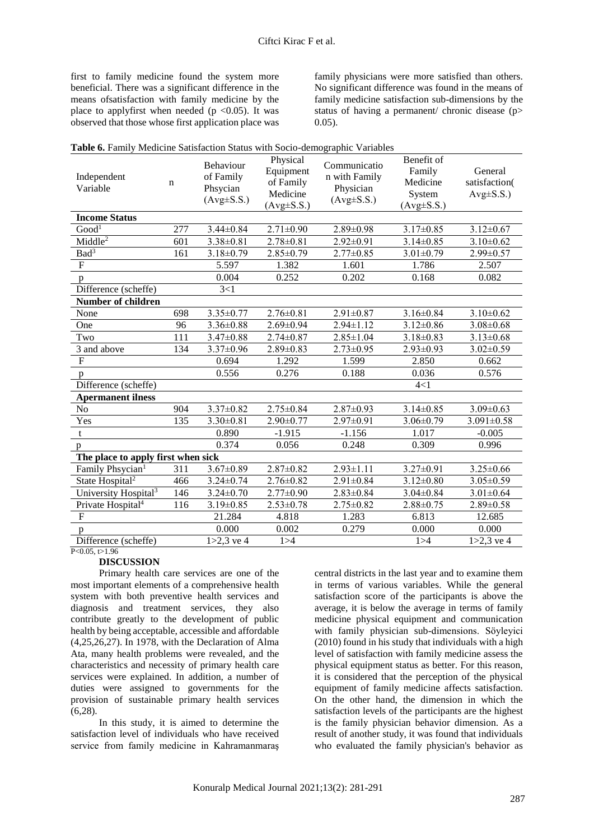first to family medicine found the system more beneficial. There was a significant difference in the means ofsatisfaction with family medicine by the place to applyfirst when needed ( $p \le 0.05$ ). It was observed that those whose first application place was

family physicians were more satisfied than others. No significant difference was found in the means of family medicine satisfaction sub-dimensions by the status of having a permanent/ chronic disease (p> 0.05).

| Table 6. Family Medicine Satisfaction Status with Socio-demographic Variables |     |                                                        |                                                                    |                                                                |                                                                |                                           |  |  |  |
|-------------------------------------------------------------------------------|-----|--------------------------------------------------------|--------------------------------------------------------------------|----------------------------------------------------------------|----------------------------------------------------------------|-------------------------------------------|--|--|--|
| Independent<br>Variable                                                       | n   | Behaviour<br>of Family<br>Phsycian<br>$(Avg \pm S.S.)$ | Physical<br>Equipment<br>of Family<br>Medicine<br>$(Avg \pm S.S.)$ | Communicatio<br>n with Family<br>Physician<br>$(Avg \pm S.S.)$ | Benefit of<br>Family<br>Medicine<br>System<br>$(Avg \pm S.S.)$ | General<br>satisfaction(<br>$Avg\pm S.S.$ |  |  |  |
| <b>Income Status</b>                                                          |     |                                                        |                                                                    |                                                                |                                                                |                                           |  |  |  |
| Good <sup>1</sup>                                                             | 277 | $3.44 \pm 0.84$                                        | $2.71 \pm 0.90$                                                    | $2.89 \pm 0.98$                                                | $3.17 \pm 0.85$                                                | $3.12 \pm 0.67$                           |  |  |  |
| Middle <sup>2</sup>                                                           | 601 | $3.38 \pm 0.81$                                        | $2.78 \pm 0.81$                                                    | $2.92 \pm 0.91$                                                | $3.14 \pm 0.85$                                                | $3.10 \pm 0.62$                           |  |  |  |
| Bad <sup>3</sup>                                                              | 161 | $3.18 \pm 0.79$                                        | $2.85 \pm 0.79$                                                    | $2.77 \pm 0.85$                                                | $3.01 \pm 0.79$                                                | $2.99 \pm 0.57$                           |  |  |  |
| ${\bf F}$                                                                     |     | 5.597                                                  | 1.382                                                              | 1.601                                                          | 1.786                                                          | 2.507                                     |  |  |  |
| p                                                                             |     | 0.004                                                  | 0.252                                                              | 0.202                                                          | 0.168                                                          | 0.082                                     |  |  |  |
| Difference (scheffe)                                                          |     | 3<1                                                    |                                                                    |                                                                |                                                                |                                           |  |  |  |
| <b>Number of children</b>                                                     |     |                                                        |                                                                    |                                                                |                                                                |                                           |  |  |  |
| None                                                                          | 698 | $3.35 \pm 0.77$                                        | $2.76 \pm 0.81$                                                    | $2.91 \pm 0.87$                                                | $3.16 \pm 0.84$                                                | $3.10 \pm 0.62$                           |  |  |  |
| One                                                                           | 96  | $3.36 \pm 0.88$                                        | $2.69 \pm 0.94$                                                    | $2.94 \pm 1.12$                                                | $3.12 \pm 0.86$                                                | $3.08 \pm 0.68$                           |  |  |  |
| Two                                                                           | 111 | $3.47 \pm 0.88$                                        | $2.74 \pm 0.87$                                                    | $2.85 \pm 1.04$                                                | $3.18 \pm 0.83$                                                | $3.13 \pm 0.68$                           |  |  |  |
| 3 and above                                                                   | 134 | $3.37 \pm 0.96$                                        | $2.89 \pm 0.83$                                                    | $2.73 \pm 0.95$                                                | $2.93 \pm 0.93$                                                | $3.02 \pm 0.59$                           |  |  |  |
| ${\bf F}$                                                                     |     | 0.694                                                  | 1.292                                                              | 1.599                                                          | 2.850                                                          | 0.662                                     |  |  |  |
| p                                                                             |     | 0.556                                                  | 0.276                                                              | 0.188                                                          | 0.036                                                          | 0.576                                     |  |  |  |
| Difference (scheffe)                                                          |     |                                                        |                                                                    |                                                                | 4<1                                                            |                                           |  |  |  |
| <b>Apermanent ilness</b>                                                      |     |                                                        |                                                                    |                                                                |                                                                |                                           |  |  |  |
| No                                                                            | 904 | $3.37 \pm 0.82$                                        | $2.75 \pm 0.84$                                                    | $2.87 \pm 0.93$                                                | $3.14 \pm 0.85$                                                | $3.09 \pm 0.63$                           |  |  |  |
| Yes                                                                           | 135 | $3.30 \pm 0.81$                                        | $2.90 \pm 0.77$                                                    | $2.97 \pm 0.91$                                                | $3.06 \pm 0.79$                                                | $3.091 \pm 0.58$                          |  |  |  |
| t                                                                             |     | 0.890                                                  | $-1.915$                                                           | $-1.156$                                                       | 1.017                                                          | $-0.005$                                  |  |  |  |
| p                                                                             |     | 0.374                                                  | 0.056                                                              | 0.248                                                          | 0.309                                                          | 0.996                                     |  |  |  |
| The place to apply first when sick                                            |     |                                                        |                                                                    |                                                                |                                                                |                                           |  |  |  |
| Family Phsycian <sup>1</sup>                                                  | 311 | $3.67 \pm 0.89$                                        | $2.87 \pm 0.82$                                                    | $2.93 \pm 1.11$                                                | $3.27 \pm 0.91$                                                | $3.25 \pm 0.66$                           |  |  |  |
| State Hospital <sup>2</sup>                                                   | 466 | $3.24 \pm 0.74$                                        | $2.76 \pm 0.82$                                                    | $2.91 \pm 0.84$                                                | $3.12 \pm 0.80$                                                | $3.05 \pm 0.59$                           |  |  |  |
| University Hospital <sup>3</sup>                                              | 146 | $3.24 \pm 0.70$                                        | $2.77 \pm 0.90$                                                    | $2.83 \pm 0.84$                                                | $3.04 \pm 0.84$                                                | $3.01 \pm 0.64$                           |  |  |  |
| Private Hospital <sup>4</sup>                                                 | 116 | $3.19 \pm 0.85$                                        | $2.53 \pm 0.78$                                                    | $2.75 \pm 0.82$                                                | $2.88 \pm 0.75$                                                | $2.89 \pm 0.58$                           |  |  |  |
| ${\bf F}$                                                                     |     | 21.284                                                 | 4.818                                                              | 1.283                                                          | 6.813                                                          | 12.685                                    |  |  |  |
| $\mathbf{p}$                                                                  |     | 0.000                                                  | 0.002                                                              | 0.279                                                          | 0.000                                                          | 0.000                                     |  |  |  |
| Difference (scheffe)                                                          |     | $1 > 2,3$ ve 4                                         | 1 > 4                                                              |                                                                | 1 > 4                                                          | $1 > 2,3$ ve 4                            |  |  |  |

 $P < 0.05, t > 1.96$ 

#### **DISCUSSION**

Primary health care services are one of the most important elements of a comprehensive health system with both preventive health services and diagnosis and treatment services, they also contribute greatly to the development of public health by being acceptable, accessible and affordable (4,25,26,27). In 1978, with the Declaration of Alma Ata, many health problems were revealed, and the characteristics and necessity of primary health care services were explained. In addition, a number of duties were assigned to governments for the provision of sustainable primary health services (6,28).

In this study, it is aimed to determine the satisfaction level of individuals who have received service from family medicine in Kahramanmaraş

central districts in the last year and to examine them in terms of various variables. While the general satisfaction score of the participants is above the average, it is below the average in terms of family medicine physical equipment and communication with family physician sub-dimensions. Söyleyici (2010) found in his study that individuals with a high level of satisfaction with family medicine assess the physical equipment status as better. For this reason, it is considered that the perception of the physical equipment of family medicine affects satisfaction. On the other hand, the dimension in which the satisfaction levels of the participants are the highest is the family physician behavior dimension. As a result of another study, it was found that individuals who evaluated the family physician's behavior as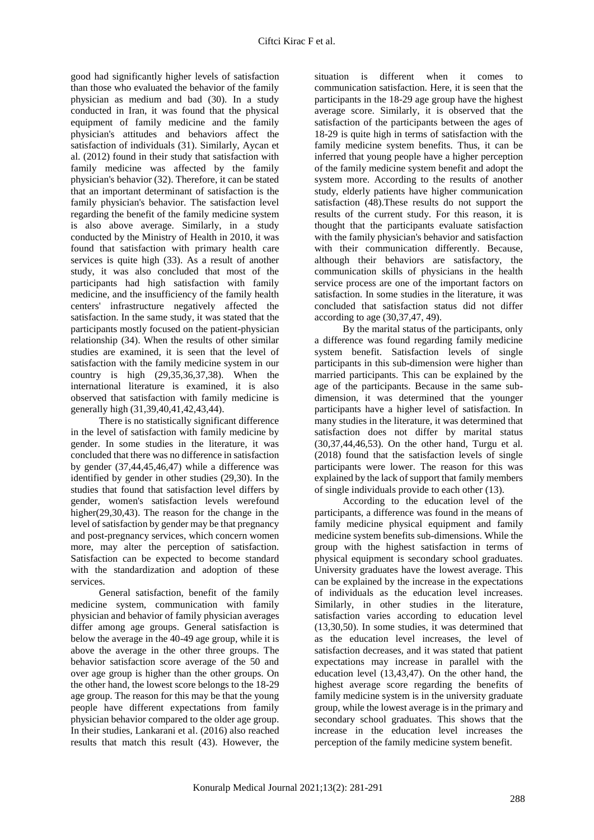good had significantly higher levels of satisfaction than those who evaluated the behavior of the family physician as medium and bad (30). In a study conducted in Iran, it was found that the physical equipment of family medicine and the family physician's attitudes and behaviors affect the satisfaction of individuals (31). Similarly, Aycan et al. (2012) found in their study that satisfaction with family medicine was affected by the family physician's behavior (32). Therefore, it can be stated that an important determinant of satisfaction is the family physician's behavior. The satisfaction level regarding the benefit of the family medicine system is also above average. Similarly, in a study conducted by the Ministry of Health in 2010, it was found that satisfaction with primary health care services is quite high (33). As a result of another study, it was also concluded that most of the participants had high satisfaction with family medicine, and the insufficiency of the family health centers' infrastructure negatively affected the satisfaction. In the same study, it was stated that the participants mostly focused on the patient-physician relationship (34). When the results of other similar studies are examined, it is seen that the level of satisfaction with the family medicine system in our country is high (29,35,36,37,38). When the international literature is examined, it is also observed that satisfaction with family medicine is generally high (31,39,40,41,42,43,44).

There is no statistically significant difference in the level of satisfaction with family medicine by gender. In some studies in the literature, it was concluded that there was no difference in satisfaction by gender (37,44,45,46,47) while a difference was identified by gender in other studies (29,30). In the studies that found that satisfaction level differs by gender, women's satisfaction levels werefound higher(29,30,43). The reason for the change in the level of satisfaction by gender may be that pregnancy and post-pregnancy services, which concern women more, may alter the perception of satisfaction. Satisfaction can be expected to become standard with the standardization and adoption of these services.

General satisfaction, benefit of the family medicine system, communication with family physician and behavior of family physician averages differ among age groups. General satisfaction is below the average in the 40-49 age group, while it is above the average in the other three groups. The behavior satisfaction score average of the 50 and over age group is higher than the other groups. On the other hand, the lowest score belongs to the 18-29 age group. The reason for this may be that the young people have different expectations from family physician behavior compared to the older age group. In their studies, Lankarani et al. (2016) also reached results that match this result (43). However, the

situation is different when it comes to communication satisfaction. Here, it is seen that the participants in the 18-29 age group have the highest average score. Similarly, it is observed that the satisfaction of the participants between the ages of 18-29 is quite high in terms of satisfaction with the family medicine system benefits. Thus, it can be inferred that young people have a higher perception of the family medicine system benefit and adopt the system more. According to the results of another study, elderly patients have higher communication satisfaction (48).These results do not support the results of the current study. For this reason, it is thought that the participants evaluate satisfaction with the family physician's behavior and satisfaction with their communication differently. Because, although their behaviors are satisfactory, the communication skills of physicians in the health service process are one of the important factors on satisfaction. In some studies in the literature, it was concluded that satisfaction status did not differ according to age (30,37,47, 49).

By the marital status of the participants, only a difference was found regarding family medicine system benefit. Satisfaction levels of single participants in this sub-dimension were higher than married participants. This can be explained by the age of the participants. Because in the same subdimension, it was determined that the younger participants have a higher level of satisfaction. In many studies in the literature, it was determined that satisfaction does not differ by marital status (30,37,44,46,53). On the other hand, Turgu et al. (2018) found that the satisfaction levels of single participants were lower. The reason for this was explained by the lack of support that family members of single individuals provide to each other (13).

According to the education level of the participants, a difference was found in the means of family medicine physical equipment and family medicine system benefits sub-dimensions. While the group with the highest satisfaction in terms of physical equipment is secondary school graduates. University graduates have the lowest average. This can be explained by the increase in the expectations of individuals as the education level increases. Similarly, in other studies in the literature, satisfaction varies according to education level (13,30,50). In some studies, it was determined that as the education level increases, the level of satisfaction decreases, and it was stated that patient expectations may increase in parallel with the education level (13,43,47). On the other hand, the highest average score regarding the benefits of family medicine system is in the university graduate group, while the lowest average is in the primary and secondary school graduates. This shows that the increase in the education level increases the perception of the family medicine system benefit.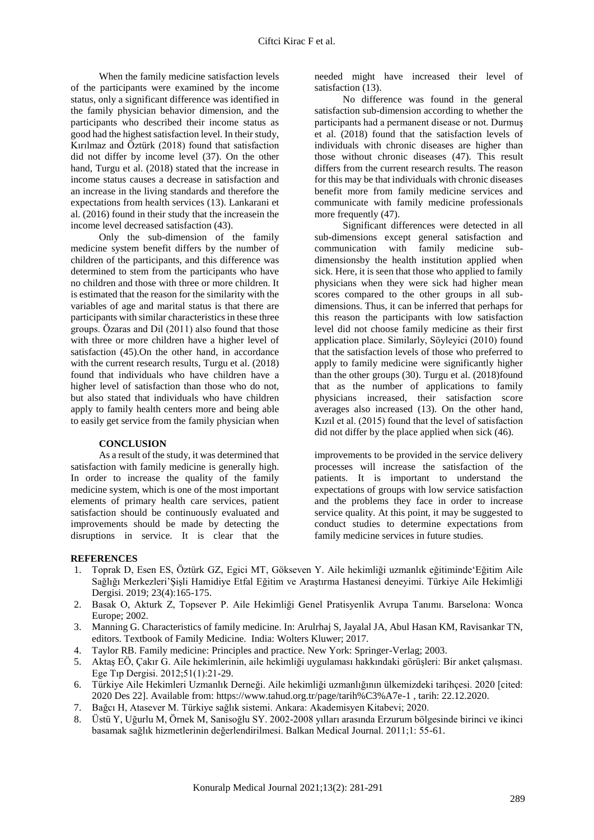When the family medicine satisfaction levels of the participants were examined by the income status, only a significant difference was identified in the family physician behavior dimension, and the participants who described their income status as good had the highest satisfaction level. In their study, Kırılmaz and Öztürk (2018) found that satisfaction did not differ by income level (37). On the other hand, Turgu et al. (2018) stated that the increase in income status causes a decrease in satisfaction and an increase in the living standards and therefore the expectations from health services (13). Lankarani et al. (2016) found in their study that the increasein the income level decreased satisfaction (43).

Only the sub-dimension of the family medicine system benefit differs by the number of children of the participants, and this difference was determined to stem from the participants who have no children and those with three or more children. It is estimated that the reason for the similarity with the variables of age and marital status is that there are participants with similar characteristics in these three groups. Özaras and Dil (2011) also found that those with three or more children have a higher level of satisfaction (45).On the other hand, in accordance with the current research results, Turgu et al. (2018) found that individuals who have children have a higher level of satisfaction than those who do not, but also stated that individuals who have children apply to family health centers more and being able to easily get service from the family physician when

#### **CONCLUSION**

As a result of the study, it was determined that satisfaction with family medicine is generally high. In order to increase the quality of the family medicine system, which is one of the most important elements of primary health care services, patient satisfaction should be continuously evaluated and improvements should be made by detecting the disruptions in service. It is clear that the

needed might have increased their level of satisfaction (13).

No difference was found in the general satisfaction sub-dimension according to whether the participants had a permanent disease or not. Durmuş et al. (2018) found that the satisfaction levels of individuals with chronic diseases are higher than those without chronic diseases (47). This result differs from the current research results. The reason for this may be that individuals with chronic diseases benefit more from family medicine services and communicate with family medicine professionals more frequently (47).

Significant differences were detected in all sub-dimensions except general satisfaction and communication with family medicine subdimensionsby the health institution applied when sick. Here, it is seen that those who applied to family physicians when they were sick had higher mean scores compared to the other groups in all subdimensions. Thus, it can be inferred that perhaps for this reason the participants with low satisfaction level did not choose family medicine as their first application place. Similarly, Söyleyici (2010) found that the satisfaction levels of those who preferred to apply to family medicine were significantly higher than the other groups (30). Turgu et al. (2018)found that as the number of applications to family physicians increased, their satisfaction score averages also increased (13). On the other hand, Kızıl et al. (2015) found that the level of satisfaction did not differ by the place applied when sick (46).

improvements to be provided in the service delivery processes will increase the satisfaction of the patients. It is important to understand the expectations of groups with low service satisfaction and the problems they face in order to increase service quality. At this point, it may be suggested to conduct studies to determine expectations from family medicine services in future studies.

### **REFERENCES**

- 1. Toprak D, Esen ES, Öztürk GZ, Egici MT, Gökseven Y. Aile hekimliği uzmanlık eğitiminde'Eğitim Aile Sağlığı Merkezleri'Şişli Hamidiye Etfal Eğitim ve Araştırma Hastanesi deneyimi. Türkiye Aile Hekimliği Dergisi. 2019; 23(4):165-175.
- 2. Basak O, Akturk Z, Topsever P. Aile Hekimliği Genel Pratisyenlik Avrupa Tanımı. Barselona: Wonca Europe; 2002.
- 3. Manning G. Characteristics of family medicine. In: Arulrhaj S, Jayalal JA, Abul Hasan KM, Ravisankar TN, editors. Textbook of Family Medicine. India: Wolters Kluwer; 2017.
- 4. Taylor RB. Family medicine: Principles and practice. New York: Springer-Verlag; 2003.
- 5. Aktaş EÖ, Çakır G. Aile hekimlerinin, aile hekimliği uygulaması hakkındaki görüşleri: Bir anket çalışması. Ege Tıp Dergisi. 2012;51(1):21-29.
- 6. Türkiye Aile Hekimleri Uzmanlık Derneği. Aile hekimliği uzmanlığının ülkemizdeki tarihçesi. 2020 [cited: 2020 Des 22]. Available from: https://www.tahud.org.tr/page/tarih%C3%A7e-1 , tarih: 22.12.2020.
- 7. Bağcı H, Atasever M. Türkiye sağlık sistemi. Ankara: Akademisyen Kitabevi; 2020.
- 8. Üstü Y, Uğurlu M, Örnek M, Sanisoğlu SY. 2002-2008 yılları arasında Erzurum bölgesinde birinci ve ikinci basamak sağlık hizmetlerinin değerlendirilmesi. Balkan Medical Journal. 2011;1: 55-61.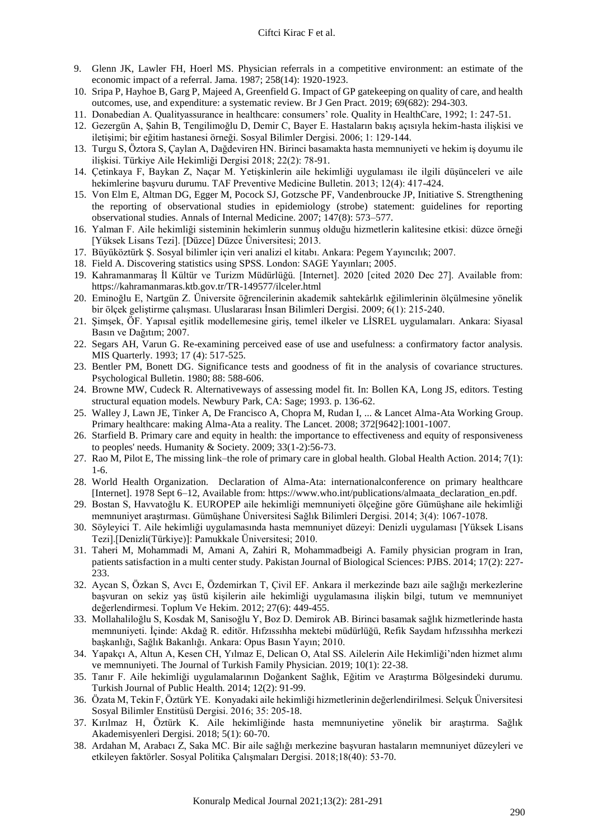#### Ciftci Kirac F et al.

- 9. Glenn JK, Lawler FH, Hoerl MS. Physician referrals in a competitive environment: an estimate of the economic impact of a referral. Jama. 1987; 258(14): 1920-1923.
- 10. Sripa P, Hayhoe B, Garg P, Majeed A, Greenfield G. Impact of GP gatekeeping on quality of care, and health outcomes, use, and expenditure: a systematic review. Br J Gen Pract. 2019; 69(682): 294-303.
- 11. Donabedian A. Qualityassurance in healthcare: consumers' role. Quality in HealthCare, 1992; 1: 247-51.
- 12. Gezergün A, Şahin B, Tengilimoğlu D, Demir C, Bayer E. Hastaların bakış açısıyla hekim-hasta ilişkisi ve iletişimi; bir eğitim hastanesi örneği. Sosyal Bilimler Dergisi. 2006; 1: 129-144.
- 13. Turgu S, Öztora S, Çaylan A, Dağdeviren HN. Birinci basamakta hasta memnuniyeti ve hekim iş doyumu ile ilişkisi. Türkiye Aile Hekimliği Dergisi 2018; 22(2): 78-91.
- 14. Çetinkaya F, Baykan Z, Naçar M. Yetişkinlerin aile hekimliği uygulaması ile ilgili düşünceleri ve aile hekimlerine başvuru durumu. TAF Preventive Medicine Bulletin. 2013; 12(4): 417-424.
- 15. Von Elm E, Altman DG, Egger M, Pocock SJ, Gotzsche PF, Vandenbroucke JP, Initiative S. Strengthening the reporting of observational studies in epidemiology (strobe) statement: guidelines for reporting observational studies. Annals of Internal Medicine. 2007; 147(8): 573–577.
- 16. Yalman F. Aile hekimliği sisteminin hekimlerin sunmuş olduğu hizmetlerin kalitesine etkisi: düzce örneği [Yüksek Lisans Tezi]. [Düzce] Düzce Üniversitesi; 2013.
- 17. Büyüköztürk Ş. Sosyal bilimler için veri analizi el kitabı. Ankara: Pegem Yayıncılık; 2007.
- 18. Field A. Discovering statistics using SPSS. London: SAGE Yayınları; 2005.
- 19. Kahramanmaraş İl Kültür ve Turizm Müdürlüğü. [Internet]. 2020 [cited 2020 Dec 27]. Available from: https://kahramanmaras.ktb.gov.tr/TR-149577/ilceler.html
- 20. Eminoğlu E, Nartgün Z. Üniversite öğrencilerinin akademik sahtekârlık eğilimlerinin ölçülmesine yönelik bir ölçek geliştirme çalışması. Uluslararası İnsan Bilimleri Dergisi. 2009; 6(1): 215-240.
- 21. Şimşek, ÖF. Yapısal eşitlik modellemesine giriş, temel ilkeler ve LİSREL uygulamaları. Ankara: Siyasal Basın ve Dağıtım; 2007.
- 22. Segars AH, Varun G. Re-examining perceived ease of use and usefulness: a confirmatory factor analysis. MIS Quarterly. 1993; 17 (4): 517-525.
- 23. Bentler PM, Bonett DG. Significance tests and goodness of fit in the analysis of covariance structures. Psychological Bulletin. 1980; 88: 588-606.
- 24. Browne MW, Cudeck R. Alternativeways of assessing model fit. In: Bollen KA, Long JS, editors. Testing structural equation models. Newbury Park, CA: Sage; 1993. p. 136-62.
- 25. Walley J, Lawn JE, Tinker A, De Francisco A, Chopra M, Rudan I, ... & Lancet Alma-Ata Working Group. Primary healthcare: making Alma-Ata a reality. The Lancet. 2008; 372[9642]:1001-1007.
- 26. Starfield B. Primary care and equity in health: the importance to effectiveness and equity of responsiveness to peoples' needs. Humanity & Society. 2009; 33(1-2):56-73.
- 27. Rao M, Pilot E, The missing link–the role of primary care in global health. Global Health Action. 2014; 7(1): 1-6.
- 28. World Health Organization. Declaration of Alma-Ata: internationalconference on primary healthcare [Internet]. 1978 Sept 6–12, Available from: https://www.who.int/publications/almaata\_declaration\_en.pdf.
- 29. Bostan S, Havvatoğlu K. EUROPEP aile hekimliği memnuniyeti ölçeğine göre Gümüşhane aile hekimliği memnuniyet araştırması. Gümüşhane Üniversitesi Sağlık Bilimleri Dergisi. 2014; 3(4): 1067-1078.
- 30. Söyleyici T. Aile hekimliği uygulamasında hasta memnuniyet düzeyi: Denizli uygulaması [Yüksek Lisans Tezi].[Denizli(Türkiye)]: Pamukkale Üniversitesi; 2010.
- 31. Taheri M, Mohammadi M, Amani A, Zahiri R, Mohammadbeigi A. Family physician program in Iran, patients satisfaction in a multi center study. Pakistan Journal of Biological Sciences: PJBS. 2014; 17(2): 227- 233.
- 32. Aycan S, Özkan S, Avcı E, Özdemirkan T, Çivil EF. Ankara il merkezinde bazı aile sağlığı merkezlerine başvuran on sekiz yaş üstü kişilerin aile hekimliği uygulamasına ilişkin bilgi, tutum ve memnuniyet değerlendirmesi. Toplum Ve Hekim. 2012; 27(6): 449-455.
- 33. Mollahaliloğlu S, Kosdak M, Sanisoğlu Y, Boz D. Demirok AB. Birinci basamak sağlık hizmetlerinde hasta memnuniyeti. İçinde: Akdağ R. editör. Hıfzıssıhha mektebi müdürlüğü, Refik Saydam hıfzıssıhha merkezi başkanlığı, Sağlık Bakanlığı. Ankara: Opus Basın Yayın; 2010.
- 34. Yapakçı A, Altun A, Kesen CH, Yılmaz E, Delican O, Atal SS. Ailelerin Aile Hekimliği'nden hizmet alımı ve memnuniyeti. The Journal of Turkish Family Physician. 2019; 10(1): 22-38.
- 35. Tanır F. Aile hekimliği uygulamalarının Doğankent Sağlık, Eğitim ve Araştırma Bölgesindeki durumu. Turkish Journal of Public Health. 2014; 12(2): 91-99.
- 36. Özata M, Tekin F, Öztürk YE. Konyadaki aile hekimliği hizmetlerinin değerlendirilmesi. Selçuk Üniversitesi Sosyal Bilimler Enstitüsü Dergisi. 2016; 35: 205-18.
- 37. Kırılmaz H, Öztürk K. Aile hekimliğinde hasta memnuniyetine yönelik bir araştırma. Sağlık Akademisyenleri Dergisi. 2018; 5(1): 60-70.
- 38. Ardahan M, Arabacı Z, Saka MC. Bir aile sağlığı merkezine başvuran hastaların memnuniyet düzeyleri ve etkileyen faktörler. Sosyal Politika Çalışmaları Dergisi. 2018;18(40): 53-70.